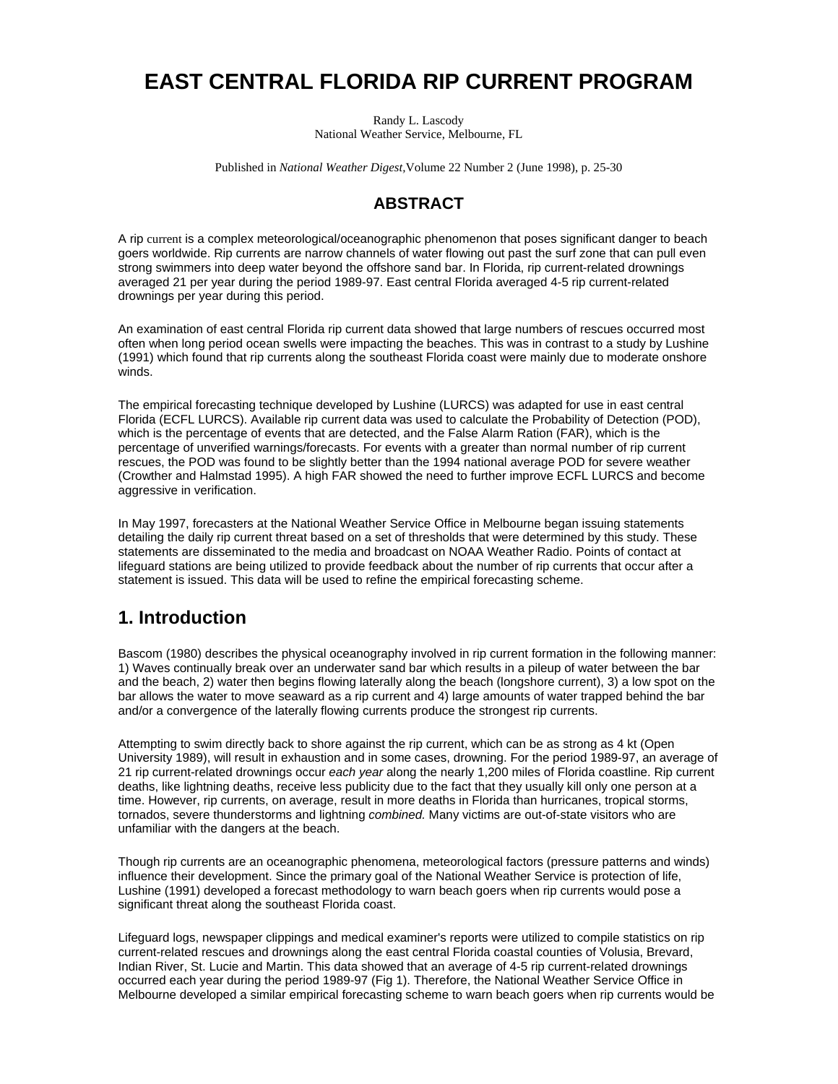# **EAST CENTRAL FLORIDA RIP CURRENT PROGRAM**

Randy L. Lascody National Weather Service, Melbourne, FL

Published in *National Weather Digest,*Volume 22 Number 2 (June 1998), p. 25-30

### **ABSTRACT**

A rip current is a complex meteorological/oceanographic phenomenon that poses significant danger to beach goers worldwide. Rip currents are narrow channels of water flowing out past the surf zone that can pull even strong swimmers into deep water beyond the offshore sand bar. In Florida, rip current-related drownings averaged 21 per year during the period 1989-97. East central Florida averaged 4-5 rip current-related drownings per year during this period.

An examination of east central Florida rip current data showed that large numbers of rescues occurred most often when long period ocean swells were impacting the beaches. This was in contrast to a study by Lushine (1991) which found that rip currents along the southeast Florida coast were mainly due to moderate onshore winds.

The empirical forecasting technique developed by Lushine (LURCS) was adapted for use in east central Florida (ECFL LURCS). Available rip current data was used to calculate the Probability of Detection (POD), which is the percentage of events that are detected, and the False Alarm Ration (FAR), which is the percentage of unverified warnings/forecasts. For events with a greater than normal number of rip current rescues, the POD was found to be slightly better than the 1994 national average POD for severe weather (Crowther and Halmstad 1995). A high FAR showed the need to further improve ECFL LURCS and become aggressive in verification.

In May 1997, forecasters at the National Weather Service Office in Melbourne began issuing statements detailing the daily rip current threat based on a set of thresholds that were determined by this study. These statements are disseminated to the media and broadcast on NOAA Weather Radio. Points of contact at lifeguard stations are being utilized to provide feedback about the number of rip currents that occur after a statement is issued. This data will be used to refine the empirical forecasting scheme.

### **1. Introduction**

Bascom (1980) describes the physical oceanography involved in rip current formation in the following manner: 1) Waves continually break over an underwater sand bar which results in a pileup of water between the bar and the beach, 2) water then begins flowing laterally along the beach (longshore current), 3) a low spot on the bar allows the water to move seaward as a rip current and 4) large amounts of water trapped behind the bar and/or a convergence of the laterally flowing currents produce the strongest rip currents.

Attempting to swim directly back to shore against the rip current, which can be as strong as 4 kt (Open University 1989), will result in exhaustion and in some cases, drowning. For the period 1989-97, an average of 21 rip current-related drownings occur *each year* along the nearly 1,200 miles of Florida coastline. Rip current deaths, like lightning deaths, receive less publicity due to the fact that they usually kill only one person at a time. However, rip currents, on average, result in more deaths in Florida than hurricanes, tropical storms, tornados, severe thunderstorms and lightning *combined.* Many victims are out-of-state visitors who are unfamiliar with the dangers at the beach.

Though rip currents are an oceanographic phenomena, meteorological factors (pressure patterns and winds) influence their development. Since the primary goal of the National Weather Service is protection of life, Lushine (1991) developed a forecast methodology to warn beach goers when rip currents would pose a significant threat along the southeast Florida coast.

Lifeguard logs, newspaper clippings and medical examiner's reports were utilized to compile statistics on rip current-related rescues and drownings along the east central Florida coastal counties of Volusia, Brevard, Indian River, St. Lucie and Martin. This data showed that an average of 4-5 rip current-related drownings occurred each year during the period 1989-97 (Fig 1). Therefore, the National Weather Service Office in Melbourne developed a similar empirical forecasting scheme to warn beach goers when rip currents would be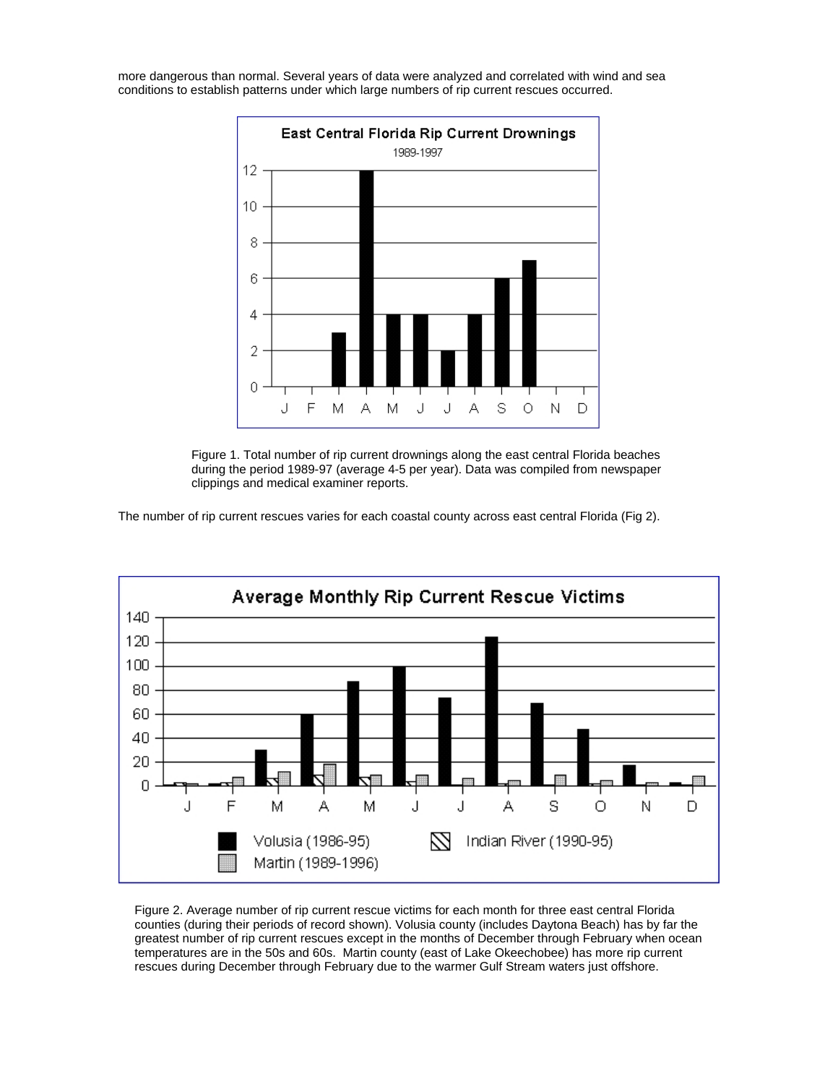more dangerous than normal. Several years of data were analyzed and correlated with wind and sea conditions to establish patterns under which large numbers of rip current rescues occurred.



 Figure 1. Total number of rip current drownings along the east central Florida beaches during the period 1989-97 (average 4-5 per year). Data was compiled from newspaper clippings and medical examiner reports.

The number of rip current rescues varies for each coastal county across east central Florida (Fig 2).



Figure 2. Average number of rip current rescue victims for each month for three east central Florida counties (during their periods of record shown). Volusia county (includes Daytona Beach) has by far the greatest number of rip current rescues except in the months of December through February when ocean temperatures are in the 50s and 60s. Martin county (east of Lake Okeechobee) has more rip current rescues during December through February due to the warmer Gulf Stream waters just offshore.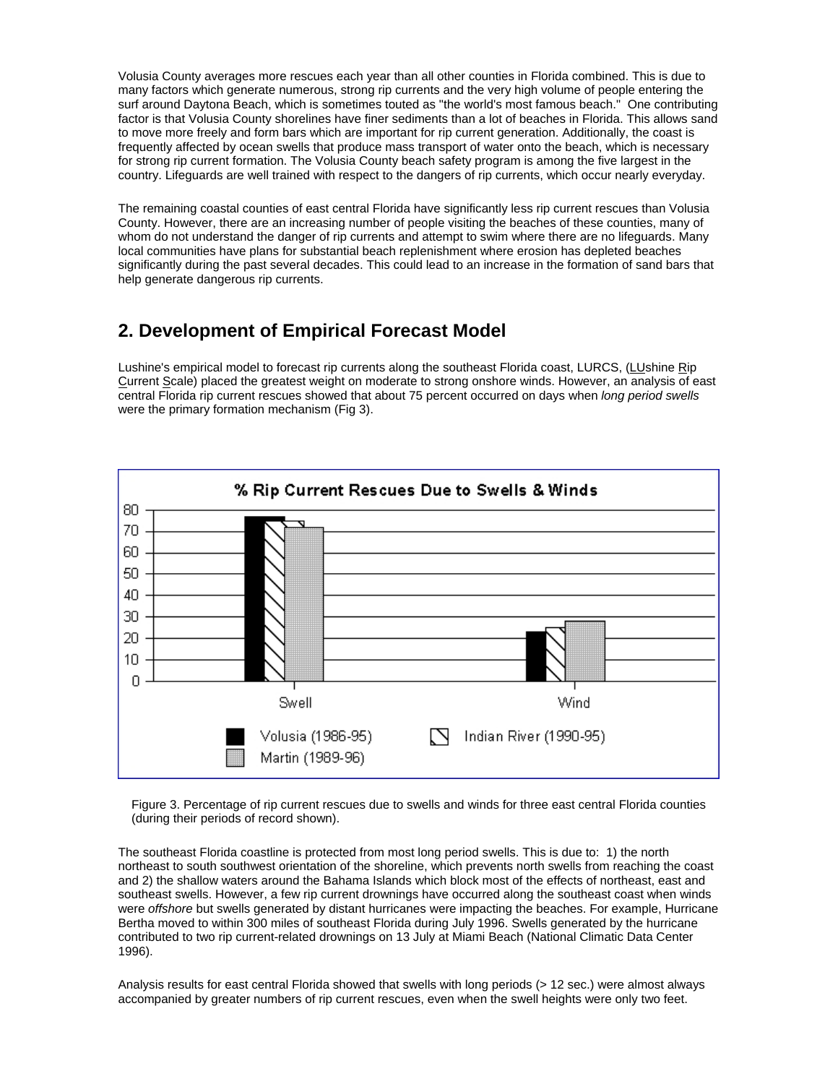Volusia County averages more rescues each year than all other counties in Florida combined. This is due to many factors which generate numerous, strong rip currents and the very high volume of people entering the surf around Daytona Beach, which is sometimes touted as "the world's most famous beach." One contributing factor is that Volusia County shorelines have finer sediments than a lot of beaches in Florida. This allows sand to move more freely and form bars which are important for rip current generation. Additionally, the coast is frequently affected by ocean swells that produce mass transport of water onto the beach, which is necessary for strong rip current formation. The Volusia County beach safety program is among the five largest in the country. Lifeguards are well trained with respect to the dangers of rip currents, which occur nearly everyday.

The remaining coastal counties of east central Florida have significantly less rip current rescues than Volusia County. However, there are an increasing number of people visiting the beaches of these counties, many of whom do not understand the danger of rip currents and attempt to swim where there are no lifeguards. Many local communities have plans for substantial beach replenishment where erosion has depleted beaches significantly during the past several decades. This could lead to an increase in the formation of sand bars that help generate dangerous rip currents.

### **2. Development of Empirical Forecast Model**

Lushine's empirical model to forecast rip currents along the southeast Florida coast, LURCS, (LUshine Rip Current Scale) placed the greatest weight on moderate to strong onshore winds. However, an analysis of east central Florida rip current rescues showed that about 75 percent occurred on days when *long period swells* were the primary formation mechanism (Fig 3).



Figure 3. Percentage of rip current rescues due to swells and winds for three east central Florida counties (during their periods of record shown).

The southeast Florida coastline is protected from most long period swells. This is due to: 1) the north northeast to south southwest orientation of the shoreline, which prevents north swells from reaching the coast and 2) the shallow waters around the Bahama Islands which block most of the effects of northeast, east and southeast swells. However, a few rip current drownings have occurred along the southeast coast when winds were *offshore* but swells generated by distant hurricanes were impacting the beaches. For example, Hurricane Bertha moved to within 300 miles of southeast Florida during July 1996. Swells generated by the hurricane contributed to two rip current-related drownings on 13 July at Miami Beach (National Climatic Data Center 1996).

Analysis results for east central Florida showed that swells with long periods (> 12 sec.) were almost always accompanied by greater numbers of rip current rescues, even when the swell heights were only two feet.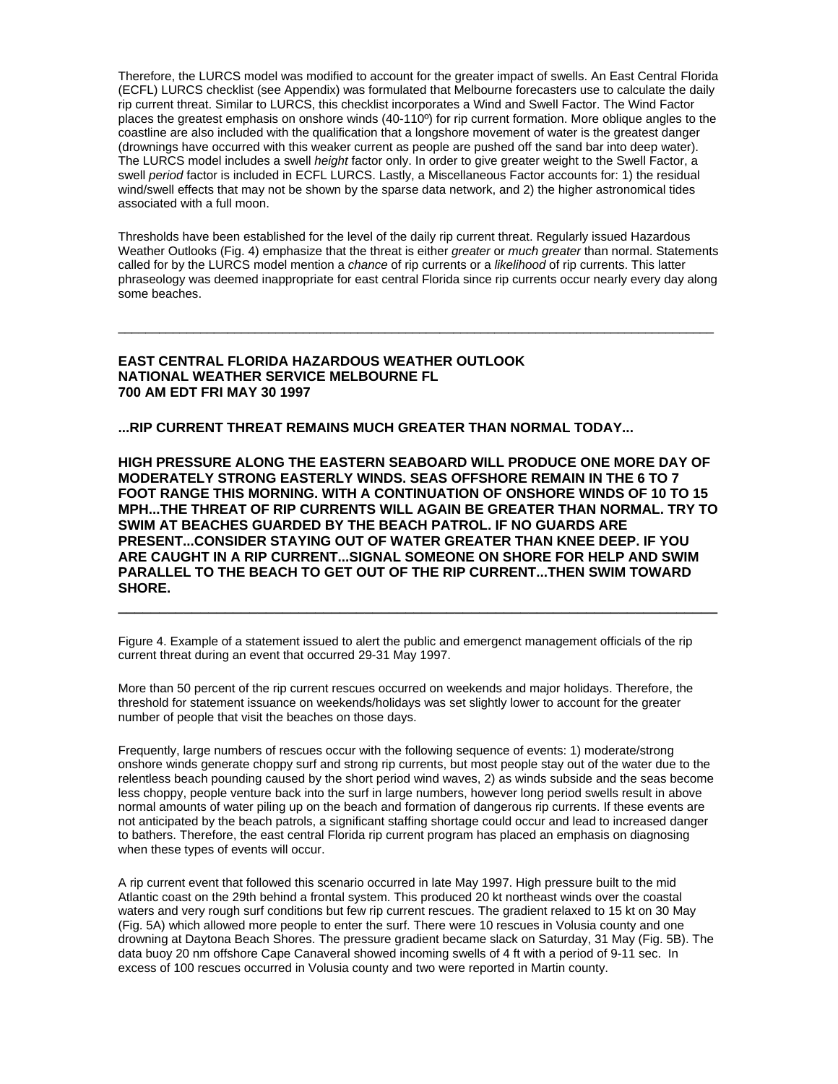Therefore, the LURCS model was modified to account for the greater impact of swells. An East Central Florida (ECFL) LURCS checklist (see Appendix) was formulated that Melbourne forecasters use to calculate the daily rip current threat. Similar to LURCS, this checklist incorporates a Wind and Swell Factor. The Wind Factor places the greatest emphasis on onshore winds (40-110º) for rip current formation. More oblique angles to the coastline are also included with the qualification that a longshore movement of water is the greatest danger (drownings have occurred with this weaker current as people are pushed off the sand bar into deep water). The LURCS model includes a swell *height* factor only. In order to give greater weight to the Swell Factor, a swell *period* factor is included in ECFL LURCS. Lastly, a Miscellaneous Factor accounts for: 1) the residual wind/swell effects that may not be shown by the sparse data network, and 2) the higher astronomical tides associated with a full moon.

Thresholds have been established for the level of the daily rip current threat. Regularly issued Hazardous Weather Outlooks (Fig. 4) emphasize that the threat is either *greater* or *much greater* than normal. Statements called for by the LURCS model mention a *chance* of rip currents or a *likelihood* of rip currents. This latter phraseology was deemed inappropriate for east central Florida since rip currents occur nearly every day along some beaches.

\_\_\_\_\_\_\_\_\_\_\_\_\_\_\_\_\_\_\_\_\_\_\_\_\_\_\_\_\_\_\_\_\_\_\_\_\_\_\_\_\_\_\_\_\_\_\_\_\_\_\_\_\_\_\_\_\_\_\_\_\_\_\_\_\_\_\_\_\_\_\_\_\_\_\_\_\_\_\_\_\_\_\_\_\_\_\_

#### **EAST CENTRAL FLORIDA HAZARDOUS WEATHER OUTLOOK NATIONAL WEATHER SERVICE MELBOURNE FL 700 AM EDT FRI MAY 30 1997**

**...RIP CURRENT THREAT REMAINS MUCH GREATER THAN NORMAL TODAY...** 

**HIGH PRESSURE ALONG THE EASTERN SEABOARD WILL PRODUCE ONE MORE DAY OF MODERATELY STRONG EASTERLY WINDS. SEAS OFFSHORE REMAIN IN THE 6 TO 7 FOOT RANGE THIS MORNING. WITH A CONTINUATION OF ONSHORE WINDS OF 10 TO 15 MPH...THE THREAT OF RIP CURRENTS WILL AGAIN BE GREATER THAN NORMAL. TRY TO SWIM AT BEACHES GUARDED BY THE BEACH PATROL. IF NO GUARDS ARE PRESENT...CONSIDER STAYING OUT OF WATER GREATER THAN KNEE DEEP. IF YOU ARE CAUGHT IN A RIP CURRENT...SIGNAL SOMEONE ON SHORE FOR HELP AND SWIM PARALLEL TO THE BEACH TO GET OUT OF THE RIP CURRENT...THEN SWIM TOWARD SHORE.** 

**\_\_\_\_\_\_\_\_\_\_\_\_\_\_\_\_\_\_\_\_\_\_\_\_\_\_\_\_\_\_\_\_\_\_\_\_\_\_\_\_\_\_\_\_\_\_\_\_\_\_\_\_\_\_\_\_\_\_\_\_\_\_\_\_\_\_\_\_\_\_\_\_\_** 

Figure 4. Example of a statement issued to alert the public and emergenct management officials of the rip current threat during an event that occurred 29-31 May 1997.

More than 50 percent of the rip current rescues occurred on weekends and major holidays. Therefore, the threshold for statement issuance on weekends/holidays was set slightly lower to account for the greater number of people that visit the beaches on those days.

Frequently, large numbers of rescues occur with the following sequence of events: 1) moderate/strong onshore winds generate choppy surf and strong rip currents, but most people stay out of the water due to the relentless beach pounding caused by the short period wind waves, 2) as winds subside and the seas become less choppy, people venture back into the surf in large numbers, however long period swells result in above normal amounts of water piling up on the beach and formation of dangerous rip currents. If these events are not anticipated by the beach patrols, a significant staffing shortage could occur and lead to increased danger to bathers. Therefore, the east central Florida rip current program has placed an emphasis on diagnosing when these types of events will occur.

A rip current event that followed this scenario occurred in late May 1997. High pressure built to the mid Atlantic coast on the 29th behind a frontal system. This produced 20 kt northeast winds over the coastal waters and very rough surf conditions but few rip current rescues. The gradient relaxed to 15 kt on 30 May (Fig. 5A) which allowed more people to enter the surf. There were 10 rescues in Volusia county and one drowning at Daytona Beach Shores. The pressure gradient became slack on Saturday, 31 May (Fig. 5B). The data buoy 20 nm offshore Cape Canaveral showed incoming swells of 4 ft with a period of 9-11 sec. In excess of 100 rescues occurred in Volusia county and two were reported in Martin county.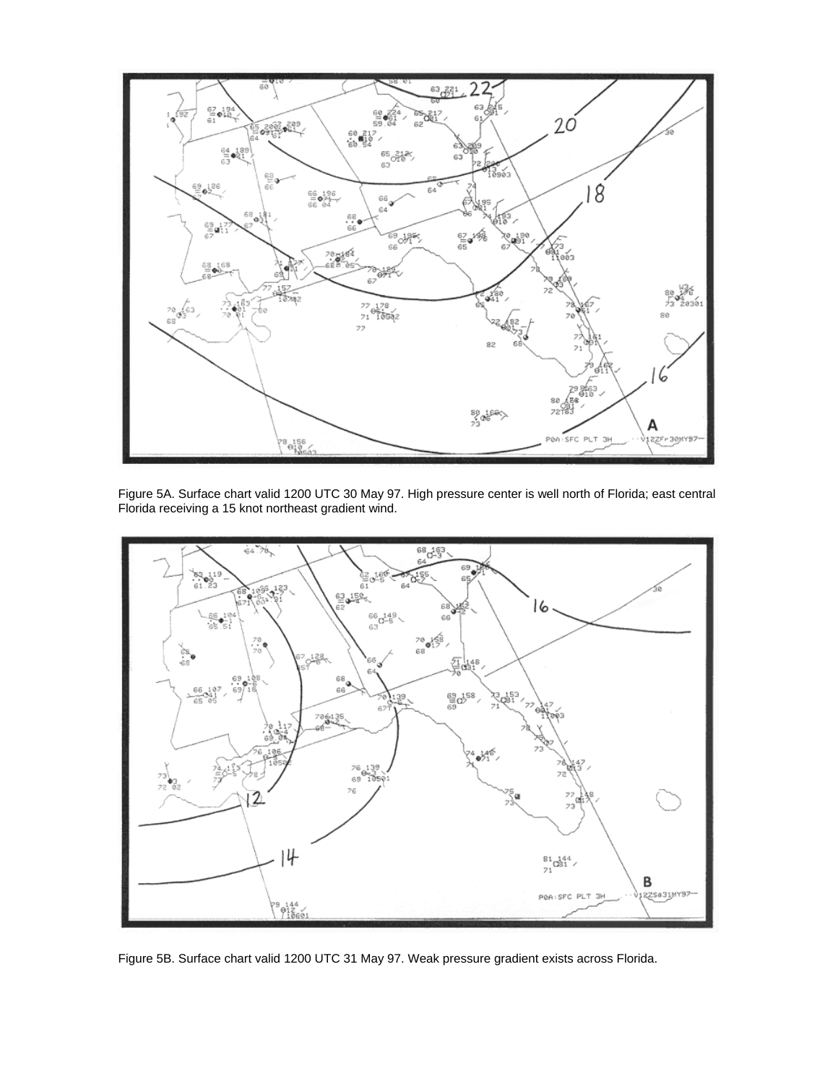

Figure 5A. Surface chart valid 1200 UTC 30 May 97. High pressure center is well north of Florida; east central Florida receiving a 15 knot northeast gradient wind.



Figure 5B. Surface chart valid 1200 UTC 31 May 97. Weak pressure gradient exists across Florida.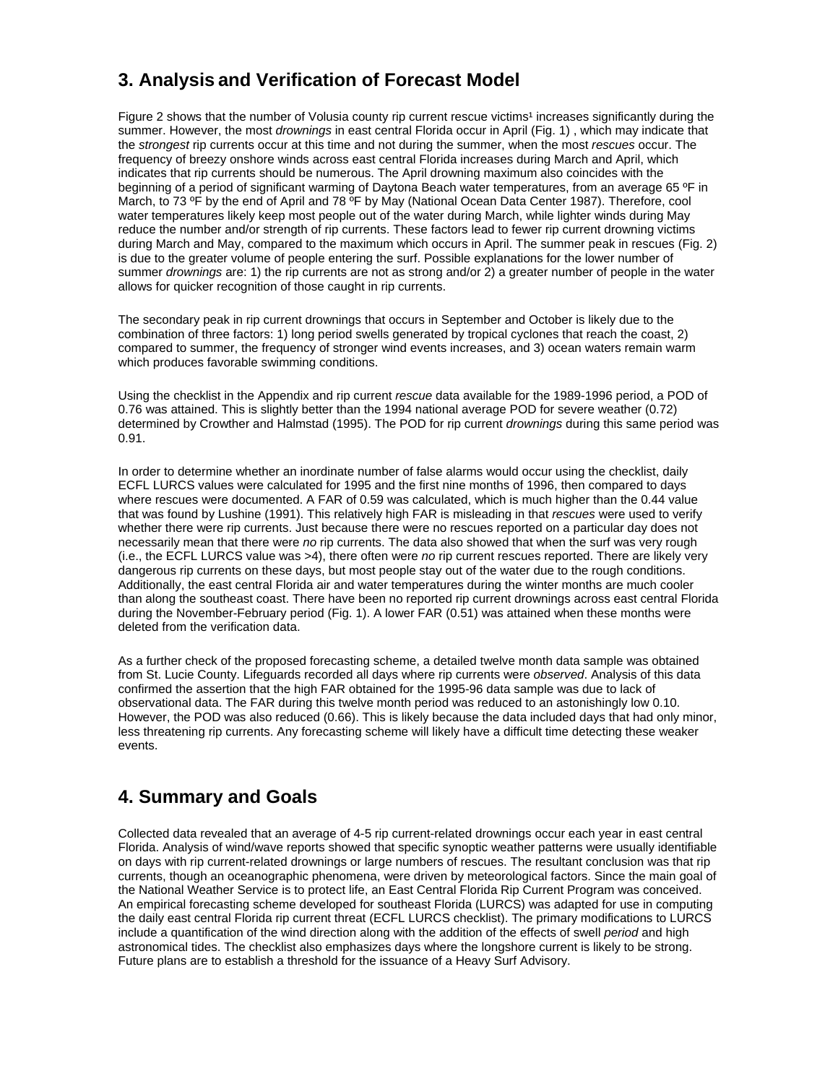## **3. Analysis and Verification of Forecast Model**

Figure 2 shows that the number of Volusia county rip current rescue victims<sup>1</sup> increases significantly during the summer. However, the most *drownings* in east central Florida occur in April (Fig. 1) , which may indicate that the *strongest* rip currents occur at this time and not during the summer, when the most *rescues* occur. The frequency of breezy onshore winds across east central Florida increases during March and April, which indicates that rip currents should be numerous. The April drowning maximum also coincides with the beginning of a period of significant warming of Daytona Beach water temperatures, from an average 65 ºF in March, to 73 °F by the end of April and 78 °F by May (National Ocean Data Center 1987). Therefore, cool water temperatures likely keep most people out of the water during March, while lighter winds during May reduce the number and/or strength of rip currents. These factors lead to fewer rip current drowning victims during March and May, compared to the maximum which occurs in April. The summer peak in rescues (Fig. 2) is due to the greater volume of people entering the surf. Possible explanations for the lower number of summer *drownings* are: 1) the rip currents are not as strong and/or 2) a greater number of people in the water allows for quicker recognition of those caught in rip currents.

The secondary peak in rip current drownings that occurs in September and October is likely due to the combination of three factors: 1) long period swells generated by tropical cyclones that reach the coast, 2) compared to summer, the frequency of stronger wind events increases, and 3) ocean waters remain warm which produces favorable swimming conditions.

Using the checklist in the Appendix and rip current *rescue* data available for the 1989-1996 period, a POD of 0.76 was attained. This is slightly better than the 1994 national average POD for severe weather (0.72) determined by Crowther and Halmstad (1995). The POD for rip current *drownings* during this same period was 0.91.

In order to determine whether an inordinate number of false alarms would occur using the checklist, daily ECFL LURCS values were calculated for 1995 and the first nine months of 1996, then compared to days where rescues were documented. A FAR of 0.59 was calculated, which is much higher than the 0.44 value that was found by Lushine (1991). This relatively high FAR is misleading in that *rescues* were used to verify whether there were rip currents. Just because there were no rescues reported on a particular day does not necessarily mean that there were *no* rip currents. The data also showed that when the surf was very rough (i.e., the ECFL LURCS value was >4), there often were *no* rip current rescues reported. There are likely very dangerous rip currents on these days, but most people stay out of the water due to the rough conditions. Additionally, the east central Florida air and water temperatures during the winter months are much cooler than along the southeast coast. There have been no reported rip current drownings across east central Florida during the November-February period (Fig. 1). A lower FAR (0.51) was attained when these months were deleted from the verification data.

As a further check of the proposed forecasting scheme, a detailed twelve month data sample was obtained from St. Lucie County. Lifeguards recorded all days where rip currents were *observed*. Analysis of this data confirmed the assertion that the high FAR obtained for the 1995-96 data sample was due to lack of observational data. The FAR during this twelve month period was reduced to an astonishingly low 0.10. However, the POD was also reduced (0.66). This is likely because the data included days that had only minor, less threatening rip currents. Any forecasting scheme will likely have a difficult time detecting these weaker events.

### **4. Summary and Goals**

Collected data revealed that an average of 4-5 rip current-related drownings occur each year in east central Florida. Analysis of wind/wave reports showed that specific synoptic weather patterns were usually identifiable on days with rip current-related drownings or large numbers of rescues. The resultant conclusion was that rip currents, though an oceanographic phenomena, were driven by meteorological factors. Since the main goal of the National Weather Service is to protect life, an East Central Florida Rip Current Program was conceived. An empirical forecasting scheme developed for southeast Florida (LURCS) was adapted for use in computing the daily east central Florida rip current threat (ECFL LURCS checklist). The primary modifications to LURCS include a quantification of the wind direction along with the addition of the effects of swell *period* and high astronomical tides. The checklist also emphasizes days where the longshore current is likely to be strong. Future plans are to establish a threshold for the issuance of a Heavy Surf Advisory.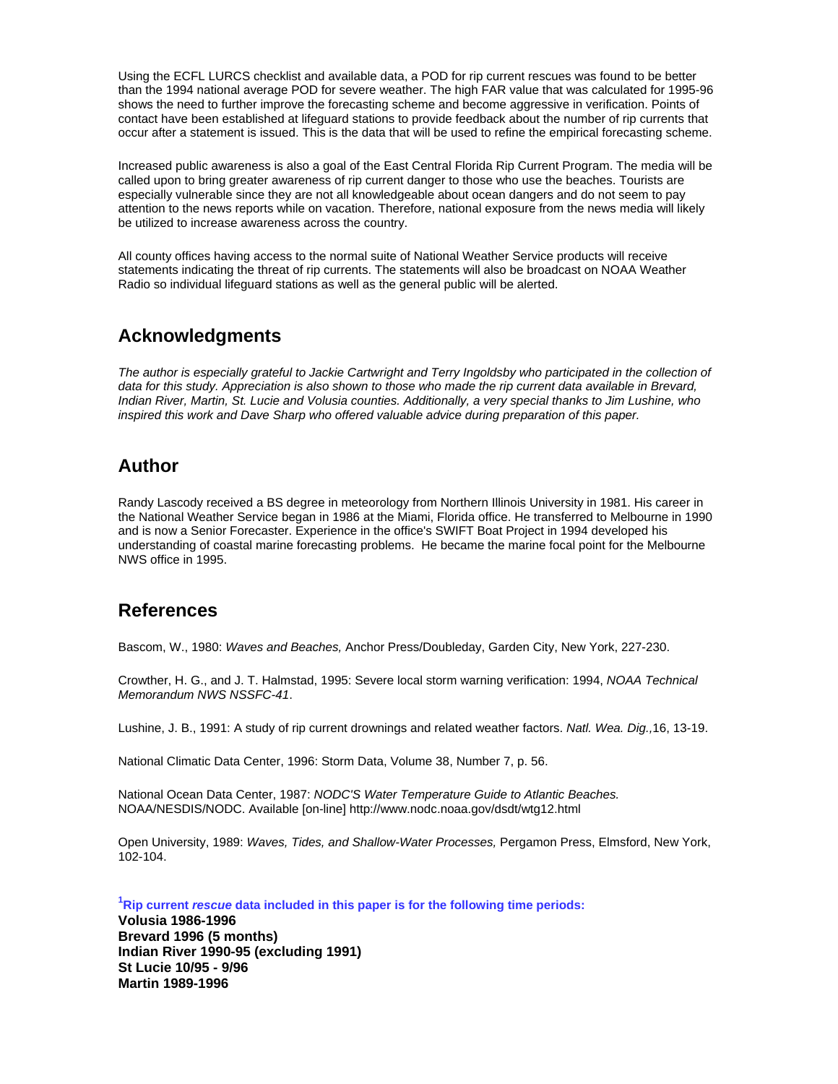Using the ECFL LURCS checklist and available data, a POD for rip current rescues was found to be better than the 1994 national average POD for severe weather. The high FAR value that was calculated for 1995-96 shows the need to further improve the forecasting scheme and become aggressive in verification. Points of contact have been established at lifeguard stations to provide feedback about the number of rip currents that occur after a statement is issued. This is the data that will be used to refine the empirical forecasting scheme.

Increased public awareness is also a goal of the East Central Florida Rip Current Program. The media will be called upon to bring greater awareness of rip current danger to those who use the beaches. Tourists are especially vulnerable since they are not all knowledgeable about ocean dangers and do not seem to pay attention to the news reports while on vacation. Therefore, national exposure from the news media will likely be utilized to increase awareness across the country.

All county offices having access to the normal suite of National Weather Service products will receive statements indicating the threat of rip currents. The statements will also be broadcast on NOAA Weather Radio so individual lifeguard stations as well as the general public will be alerted.

#### **Acknowledgments**

The author is especially grateful to Jackie Cartwright and Terry Ingoldsby who participated in the collection of *data for this study. Appreciation is also shown to those who made the rip current data available in Brevard, Indian River, Martin, St. Lucie and Volusia counties. Additionally, a very special thanks to Jim Lushine, who inspired this work and Dave Sharp who offered valuable advice during preparation of this paper.*

### **Author**

Randy Lascody received a BS degree in meteorology from Northern Illinois University in 1981. His career in the National Weather Service began in 1986 at the Miami, Florida office. He transferred to Melbourne in 1990 and is now a Senior Forecaster. Experience in the office's SWIFT Boat Project in 1994 developed his understanding of coastal marine forecasting problems. He became the marine focal point for the Melbourne NWS office in 1995.

### **References**

Bascom, W., 1980: *Waves and Beaches,* Anchor Press/Doubleday, Garden City, New York, 227-230.

Crowther, H. G., and J. T. Halmstad, 1995: Severe local storm warning verification: 1994, *NOAA Technical Memorandum NWS NSSFC-41*.

Lushine, J. B., 1991: A study of rip current drownings and related weather factors. *Natl. Wea. Dig.,*16, 13-19.

National Climatic Data Center, 1996: Storm Data, Volume 38, Number 7, p. 56.

National Ocean Data Center, 1987: *NODC'S Water Temperature Guide to Atlantic Beaches.*  NOAA/NESDIS/NODC. Available [on-line] http://www.nodc.noaa.gov/dsdt/wtg12.html

Open University, 1989: *Waves, Tides, and Shallow-Water Processes,* Pergamon Press, Elmsford, New York, 102-104.

**1 Rip current** *rescue* **data included in this paper is for the following time periods:**

**Volusia 1986-1996 Brevard 1996 (5 months) Indian River 1990-95 (excluding 1991) St Lucie 10/95 - 9/96 Martin 1989-1996**